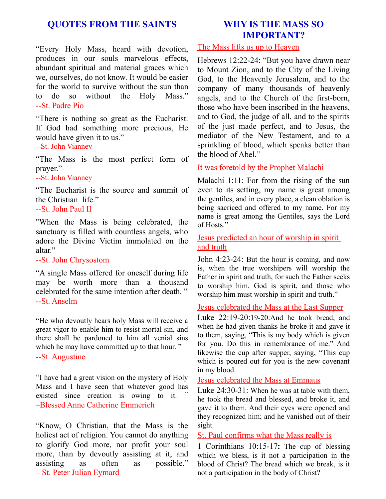# **QUOTES FROM THE SAINTS**

"Every Holy Mass, heard with devotion, produces in our souls marvelous effects, abundant spiritual and material graces which we, ourselves, do not know. It would be easier for the world to survive without the sun than to do so without the Holy Mass." --St. Padre Pio

"There is nothing so great as the Eucharist. If God had something more precious, He would have given it to us."

## --St. John Vianney

"The Mass is the most perfect form of prayer."

--St. John Vianney

"The Eucharist is the source and summit of the Christian life."

### --St. John Paul II

"When the Mass is being celebrated, the sanctuary is filled with countless angels, who adore the Divine Victim immolated on the altar."

#### --St. John Chrysostom

"A single Mass offered for oneself during life may be worth more than a thousand celebrated for the same intention after death. " --St. Anselm

"He who devoutly hears holy Mass will receive a great vigor to enable him to resist mortal sin, and there shall be pardoned to him all venial sins which he may have committed up to that hour."

#### --St. Augustine

"I have had a great vision on the mystery of Holy Mass and I have seen that whatever good has existed since creation is owing to it. " –Blessed Anne Catherine Emmerich

"Know, O Christian, that the Mass is the holiest act of religion. You cannot do anything to glorify God more, nor profit your soul more, than by devoutly assisting at it, and assisting as often as possible." – St. Peter Julian Eymard

# **WHY IS THE MASS SO IMPORTANT?**

## The Mass lifts us up to Heaven

Hebrews 12:22-24: "But you have drawn near to Mount Zion, and to the City of the Living God, to the Heavenly Jerusalem, and to the company of many thousands of heavenly angels, and to the Church of the first-born, those who have been inscribed in the heavens, and to God, the judge of all, and to the spirits of the just made perfect, and to Jesus, the mediator of the New Testament, and to a sprinkling of blood, which speaks better than the blood of Abel."

### It was foretold by the Prophet Malachi

Malachi 1:11: For from the rising of the sun even to its setting, my name is great among the gentiles, and in every place, a clean oblation is being sacriced and offered to my name. For my name is great among the Gentiles, says the Lord of Hosts."

# Jesus predicted an hour of worship in spirit and truth

John 4:23-24: But the hour is coming, and now is, when the true worshipers will worship the Father in spirit and truth, for such the Father seeks to worship him. God is spirit, and those who worship him must worship in spirit and truth."

#### Jesus celebrated the Mass at the Last Supper

Luke 22:19-20:19-20:And he took bread, and when he had given thanks he broke it and gave it to them, saying, "This is my body which is given for you. Do this in remembrance of me." And likewise the cup after supper, saying, "This cup which is poured out for you is the new covenant in my blood.

#### Jesus celebrated the Mass at Emmaus

Luke 24:30-31: When he was at table with them, he took the bread and blessed, and broke it, and gave it to them. And their eyes were opened and they recognized him; and he vanished out of their sight.

## St. Paul confirms what the Mass really is

1 Corinthians 10:15-17**:** The cup of blessing which we bless, is it not a participation in the blood of Christ? The bread which we break, is it not a participation in the body of Christ?